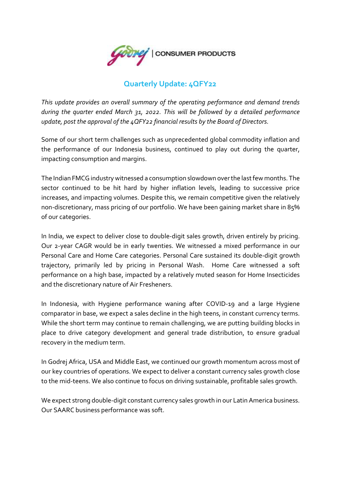

## **Quarterly Update: 4QFY22**

*This update provides an overall summary of the operating performance and demand trends during the quarter ended March 31, 2022. This will be followed by a detailed performance update, post the approval of the 4QFY22 financial results by the Board of Directors.*

Some of our short term challenges such as unprecedented global commodity inflation and the performance of our Indonesia business, continued to play out during the quarter, impacting consumption and margins.

The Indian FMCG industry witnessed a consumption slowdown over the last few months. The sector continued to be hit hard by higher inflation levels, leading to successive price increases, and impacting volumes. Despite this, we remain competitive given the relatively non-discretionary, mass pricing of our portfolio. We have been gaining market share in 85% of our categories.

In India, we expect to deliver close to double-digit sales growth, driven entirely by pricing. Our 2-year CAGR would be in early twenties. We witnessed a mixed performance in our Personal Care and Home Care categories. Personal Care sustained its double-digit growth trajectory, primarily led by pricing in Personal Wash. Home Care witnessed a soft performance on a high base, impacted by a relatively muted season for Home Insecticides and the discretionary nature of Air Fresheners.

In Indonesia, with Hygiene performance waning after COVID-19 and a large Hygiene comparator in base, we expect a sales decline in the high teens, in constant currency terms. While the short term may continue to remain challenging, we are putting building blocks in place to drive category development and general trade distribution, to ensure gradual recovery in the medium term.

In Godrej Africa, USA and Middle East, we continued our growth momentum across most of our key countries of operations. We expect to deliver a constant currency sales growth close to the mid-teens. We also continue to focus on driving sustainable, profitable sales growth.

We expect strong double-digit constant currency sales growth in our Latin America business. Our SAARC business performance was soft.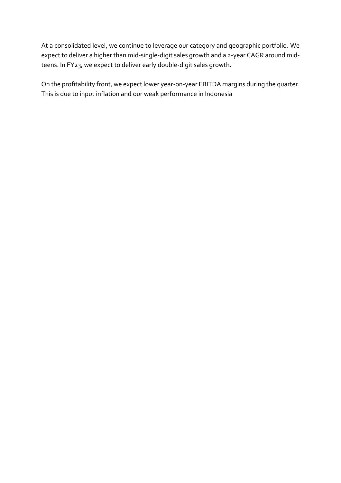At a consolidated level, we continue to leverage our category and geographic portfolio. We expect to deliver a higher than mid-single-digit sales growth and a 2-year CAGR around midteens. In FY23, we expect to deliver early double-digit sales growth.

On the profitability front, we expect lower year-on-year EBITDA margins during the quarter. This is due to input inflation and our weak performance in Indonesia